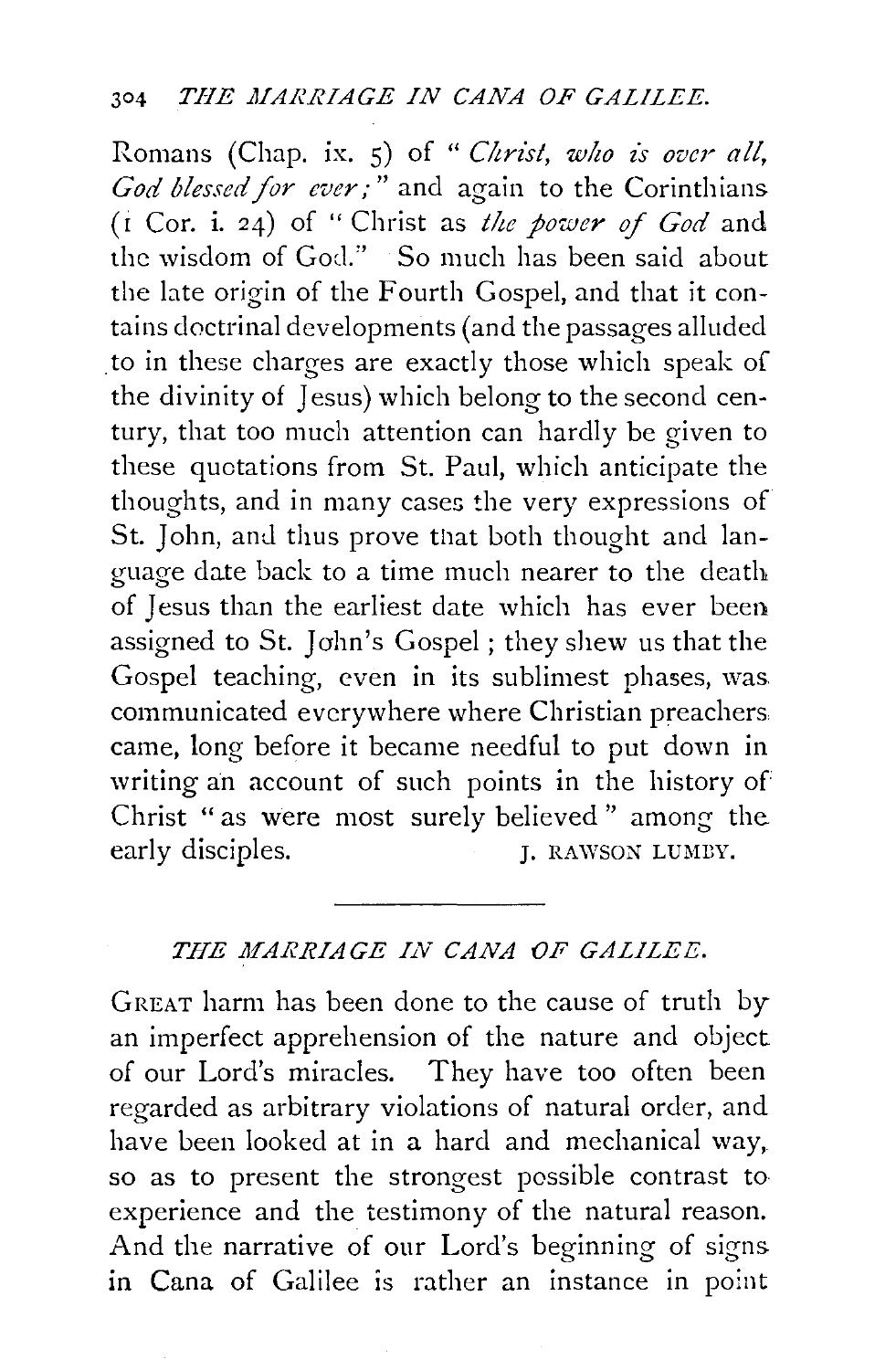Romans (Chap. ix. 5) of " *Christ*, who is over all, *God blessed for ever;"* and again to the Corinthians ( i Cor. i. 24) of " Christ as *t!te power of God* and the wisdom of God." So much has been said about the late origin of the Fourth Gospel, and that it contains doctrinal developments (and the passages alluded to in these charges are exactly those which speak of the divinity of Jesus) which belong to the second century, that too much attention can hardly be given to these quotations from St. Paul, which anticipate the thoughts, and in many cases the very expressions of St. John, and thus prove that both thought and language date back to a time much nearer to the death of Jesus than the earliest date which has ever been assigned to St. John's Gospel; they shew us that the Gospel teaching, even in its sublimest phases, was communicated everywhere where Christian preachers came, long before it became needful to put down in writing an account of such points in the history of Christ " as were most surely believed " among the early disciples.  $I. RAWSON LUMBY.$ 

## THE MARRIAGE IN CANA OF GALILEE.

GREAT harm has been done to the cause of truth by an imperfect apprehension of the nature and object of our Lord's miracles. They have too often been regarded as arbitrary violations of natural order, and have been looked at in a hard and mechanical way, so as to present the strongest possible contrast to experience and the testimony of the natural reason. And the narrative of our Lord's beginning of signs in Cana of Galilee is rather an instance in point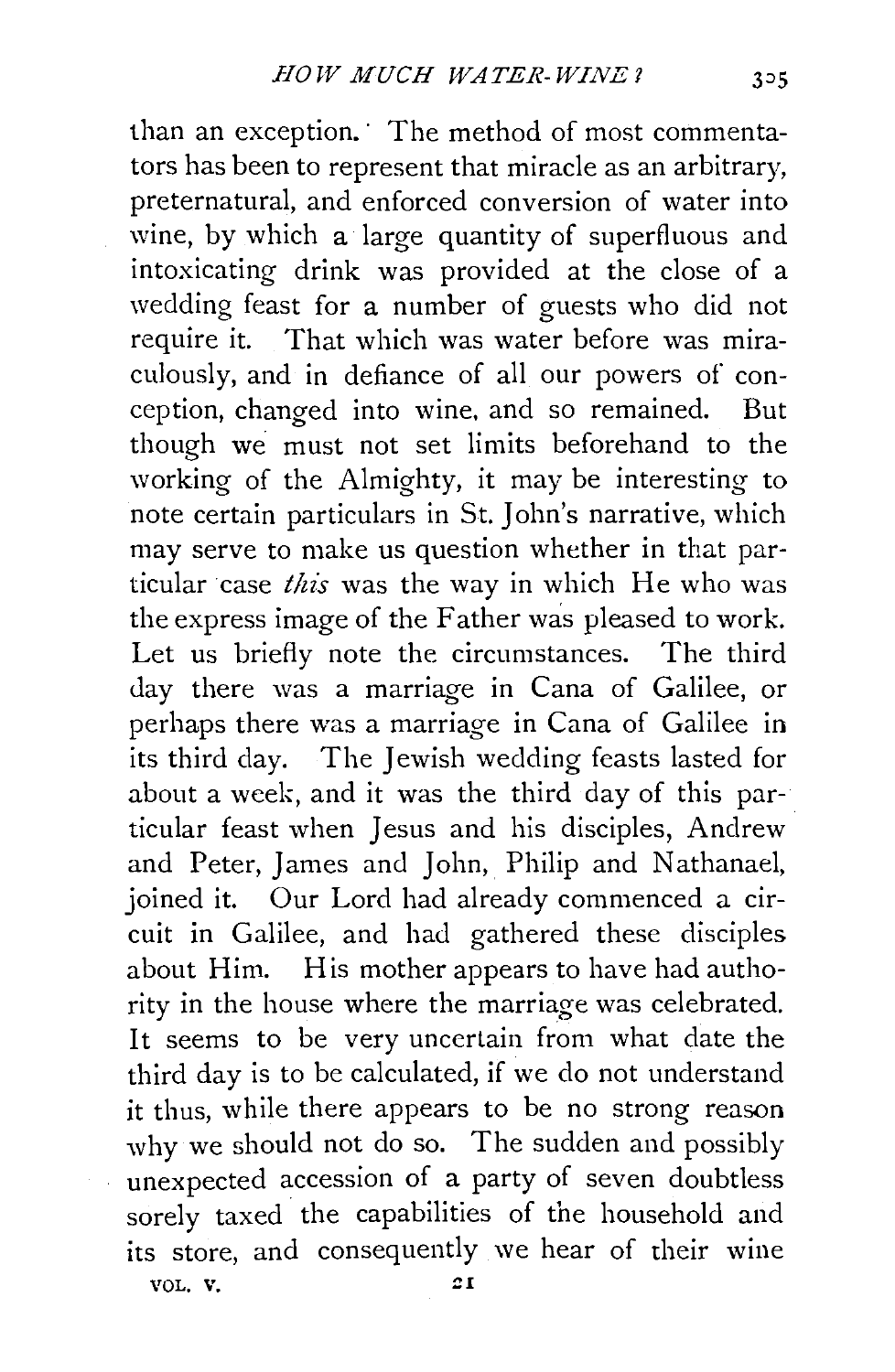than an exception. The method of most commentators has been to represent that miracle as an arbitrary, preternatural, and enforced conversion of water into wine, by which a large quantity of superfluous and intoxicating drink was provided at the close of a wedding feast for a number of guests who did not require it. That which was water before was miraculously, and in defiance of all our powers of conception, changed into wine, and so remained. But though we must not set limits beforehand to the working of the Almighty, it may be interesting to note certain particulars in St. John's narrative, which may serve to make us question whether in that particular case *this* was the way in which He who was the express image of the Father was pleased to work. Let us briefly note the circumstances. The third day there was a marriage in Cana of Galilee, or perhaps there was a marriage in Cana of Galilee in its third day. The Jewish wedding feasts lasted for about a week, and it was the third day of this particular feast when Jesus and his disciples, Andrew and Peter, James and John, Philip and Nathanael, joined it. Our Lord had already commenced a circuit in Galilee, and had gathered these disciples about Him. His mother appears to have had authority in the house where the marriage was celebrated. It seems to be very uncertain from what date the third day is to be calculated, if we do not understand it thus, while there appears to be no strong reason why we should not do so. The sudden and possibly unexpected accession of a party of seven doubtless sorely taxed the capabilities of the household and its store, and consequently we hear of their wine VOL. V. ZI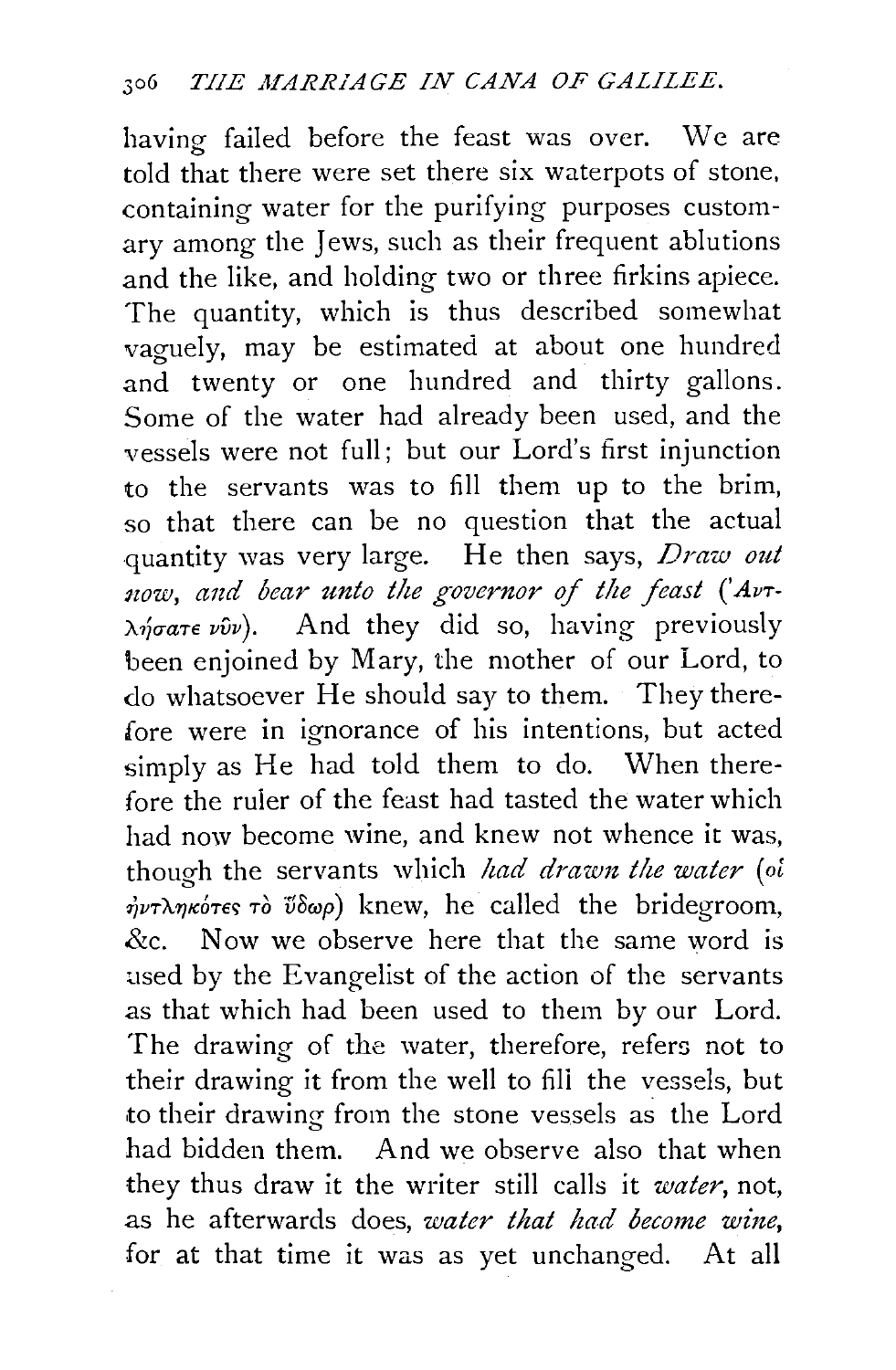having failed before the feast was over. We are told that there were set there six waterpots of stone, containing water for the purifying purposes customary among the Jews, such as their frequent ablutions and the like, and holding two or three firkins apiece. The quantity, which is thus described somewhat vaguely, may be estimated at about one hundred and twenty or one hundred and thirty gallons. Some of the water had already been used, and the vessels were not full; but our Lord's first injunction to the servants was to fill them up to the brim, so that there can be no question that the actual quantity was very large. He then says, *Draw out*  now, and bear unto the governor of the feast ('AvT- $\lambda \eta \sigma \alpha \tau \epsilon \nu \hat{\nu} \nu$ . And they did so, having previously been enjoined by Mary, the mother of our Lord, to do whatsoever He should say to them. They therefore were in ignorance of his intentions, but acted simply as He had told them to do. When therefore the ruier of the feast had tasted the water which had now become wine, and knew not whence it was, though the servants which *had drawn the water* (oi  $\dot{\eta}$ *vT* $\lambda \eta$ *Ko'TES*  $\tau$ *o*  $\tilde{\nu}$  $\delta \omega \rho$ ) knew, he called the bridegroom, &c. Now we observe here that the same word is used by the Evangelist of the action of the servants as that which had been used to them by our Lord. The drawing of the water, therefore, refers not to their drawing it from the well to fill the vessels, but to their drawing from the stone vessels as the Lord had bidden them. And we observe also that when they thus draw it the writer still calls it *water,* not, as he afterwards does, *water that had become wine,*  for at that time it was as yet unchanged. At all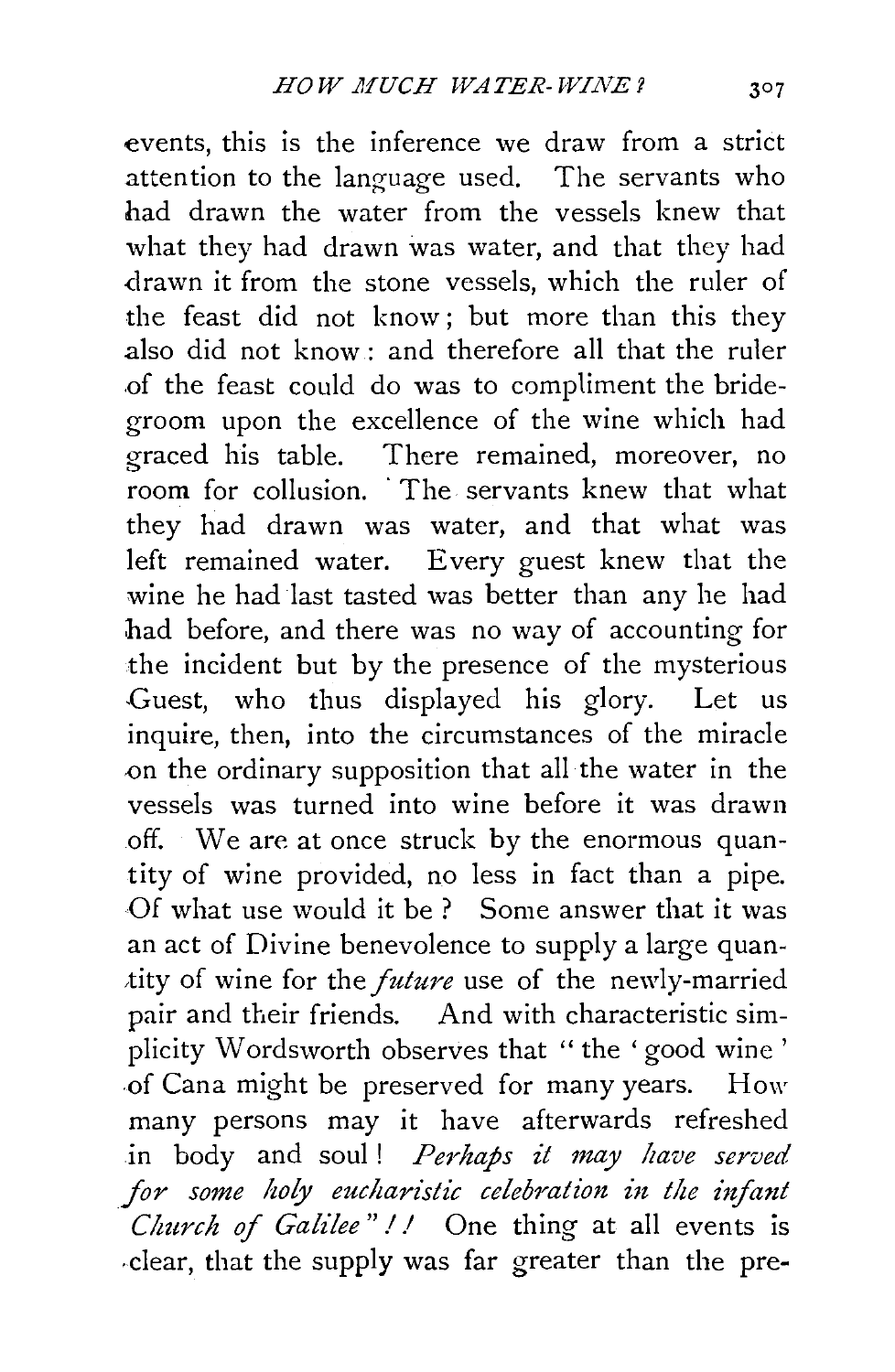events, this is the inference we draw from a strict attention to the language used. The servants who had drawn the water from the vessels knew that what they had drawn was water, and that they had .drawn it from the stone vessels, which the ruler of the feast did not know; but more than this they also did not know : and therefore all that the ruler .of the feast could do was to compliment the bridegroom upon the excellence of the wine which had graced his table. There remained, moreover, no room for collusion. The servants knew that what they had drawn was water, and that what was left remained water. Every guest knew that the wine he had last tasted was better than any he had had before, and there was no way of accounting for the incident but by the presence of the mysterious Guest, who thus displayed his glory. Let us inquire, then, into the circumstances of the miracle on the ordinary supposition that all the water in the vessels was turned into wine before it was drawn off. We are at once struck by the enormous quantity of wine provided, no less in fact than a pipe. Of what use would it be ? Some answer that it was an act of Divine benevolence to supply a large quan tity of wine for the *future* use of the newly-married pair and their friends. And with characteristic simplicity Wordsworth observes that "the 'good wine ' -of Cana might be preserved for many years. How many persons may it have afterwards refreshed in body and soul! *Perhaps it may have served* for some holy eucharistic celebration in the infant *Church of Galilee* " I/ One thing at all events is .clear, that the supply was far greater than the pre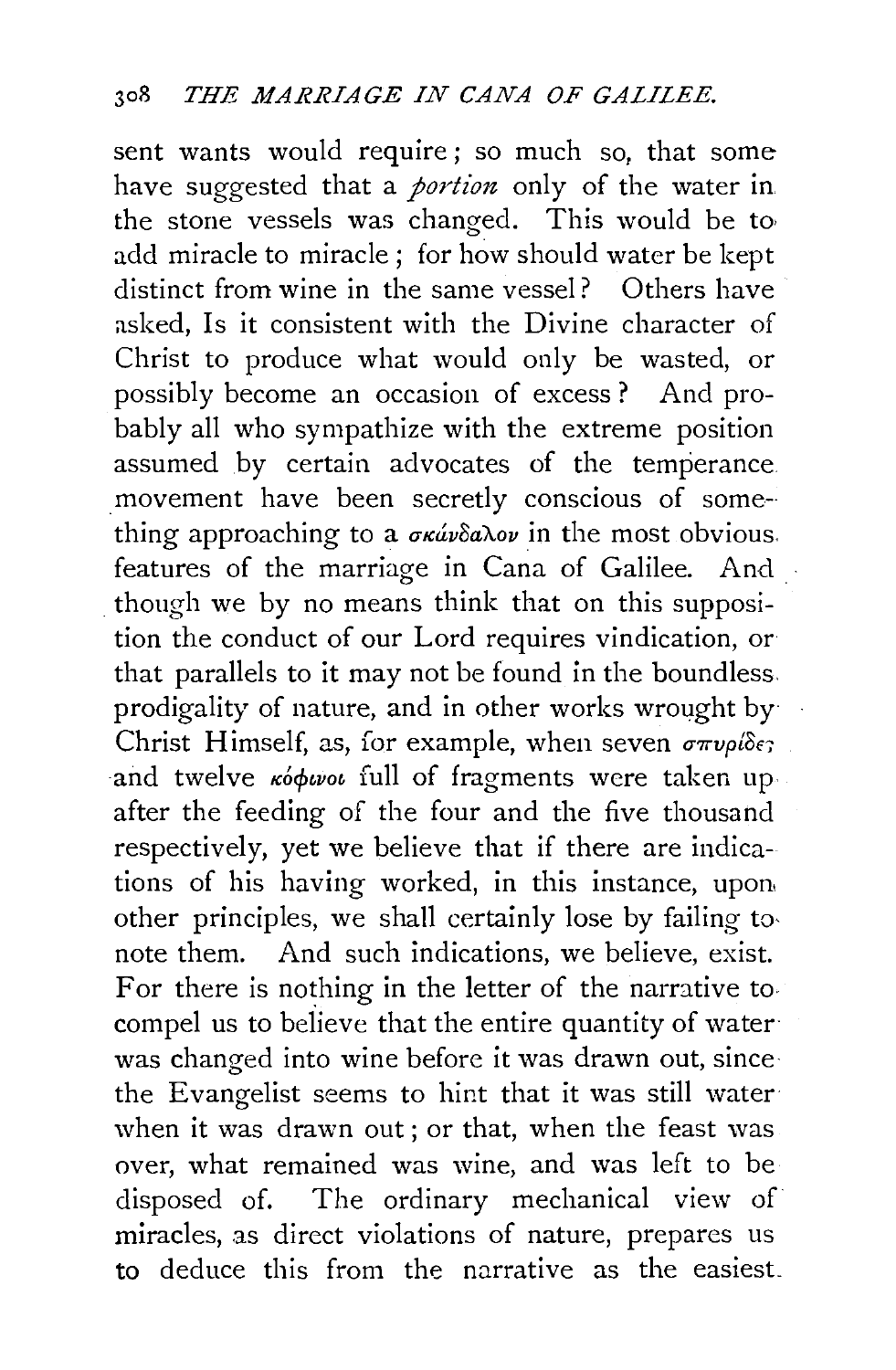sent wants would require ; so much so, that some have suggested that a *portion* only of the water in the stone vessels was changed. This would be to add miracle to miracle ; for how should water be kept distinct from wine in the same vessel? Others have asked, Is it consistent with the Divine character of Christ to produce what would only be wasted, or possibly become an occasion of excess? And probably all who sympathize with the extreme position assumed by certain advocates of the temperance movement have been secretly conscious of something approaching to a  $\sigma \kappa \omega \delta \omega \omega$  in the most obvious. features of the marriage in Cana of Galilee. And though we by no means think that on this supposition the conduct of our Lord requires vindication, or that parallels to it may not be found in the boundless. prodigality of nature, and in other works wrought by Christ Himself, as, for example, when seven  $\sigma \pi \nu \rho l \delta \epsilon$ ; and twelve  $\kappa \phi \phi$ *wot* full of fragments were taken up after the feeding of the four and the five thousand respectively, yet we believe that if there are indications of his having worked, in this instance, upon, other principles, we shall certainly lose by failing to· note them. And such indications, we believe, exist. For there is nothing in the letter of the narrative to. compel us to believe that the entire quantity of water was changed into wine before it was drawn out, since the Evangelist seems to hint that it was still water when it was drawn out; or that, when the feast was over, what remained was wine, and was left to be disposed of. The ordinary mechanical view of miracles, as direct violations of nature, prepares us to deduce this from the narrative as the easiest\_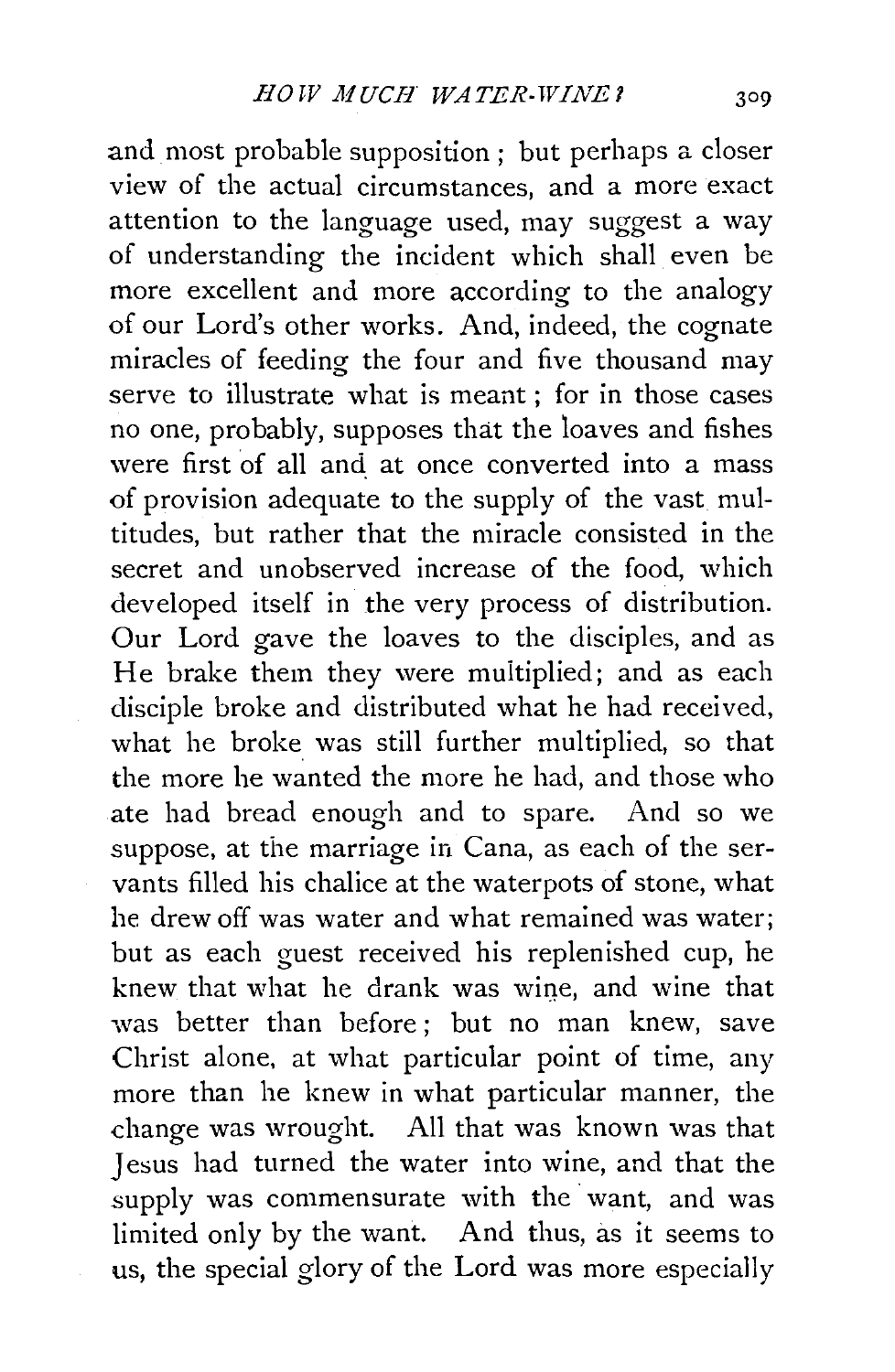and most probable supposition; but perhaps a closer view of the actual circumstances, and a more exact attention to the language used, may suggest a way of understanding the incident which shall even be more excellent and more according to the analogy of our Lord's other works. And, indeed, the cognate miracles of feeding the four and five thousand may serve to illustrate what is meant; for in those cases no one, probably, supposes that the loaves and fishes were first of all and at once converted into a mass of provision adequate to the supply of the vast multitudes, but rather that the miracle consisted in the secret and unobserved increase of the food, which developed itself in the very process of distribution. Our Lord gave the loaves to the disciples, and as He brake them they were multiplied; and as each disciple broke and distributed what he had received, what he broke was still further multiplied, so that the more he wanted the more he had, and those who ate had bread enough and to spare. And so we suppose, at the marriage in Cana, as each of the servants filled his chalice at the waterpots of stone, what he drew off was water and what remained was water; but as each guest received his replenished cup, he knew that what he drank was wine, and wine that was better than before ; but no man knew, save Christ alone, at what particular point of time, any more than he knew in what particular manner, the change was wrought. All that was known was that Jesus had turned the water into wine, and that the supply was commensurate with the want, and was limited only by the want. And thus, as it seems to us, the special glory of the Lord was more especially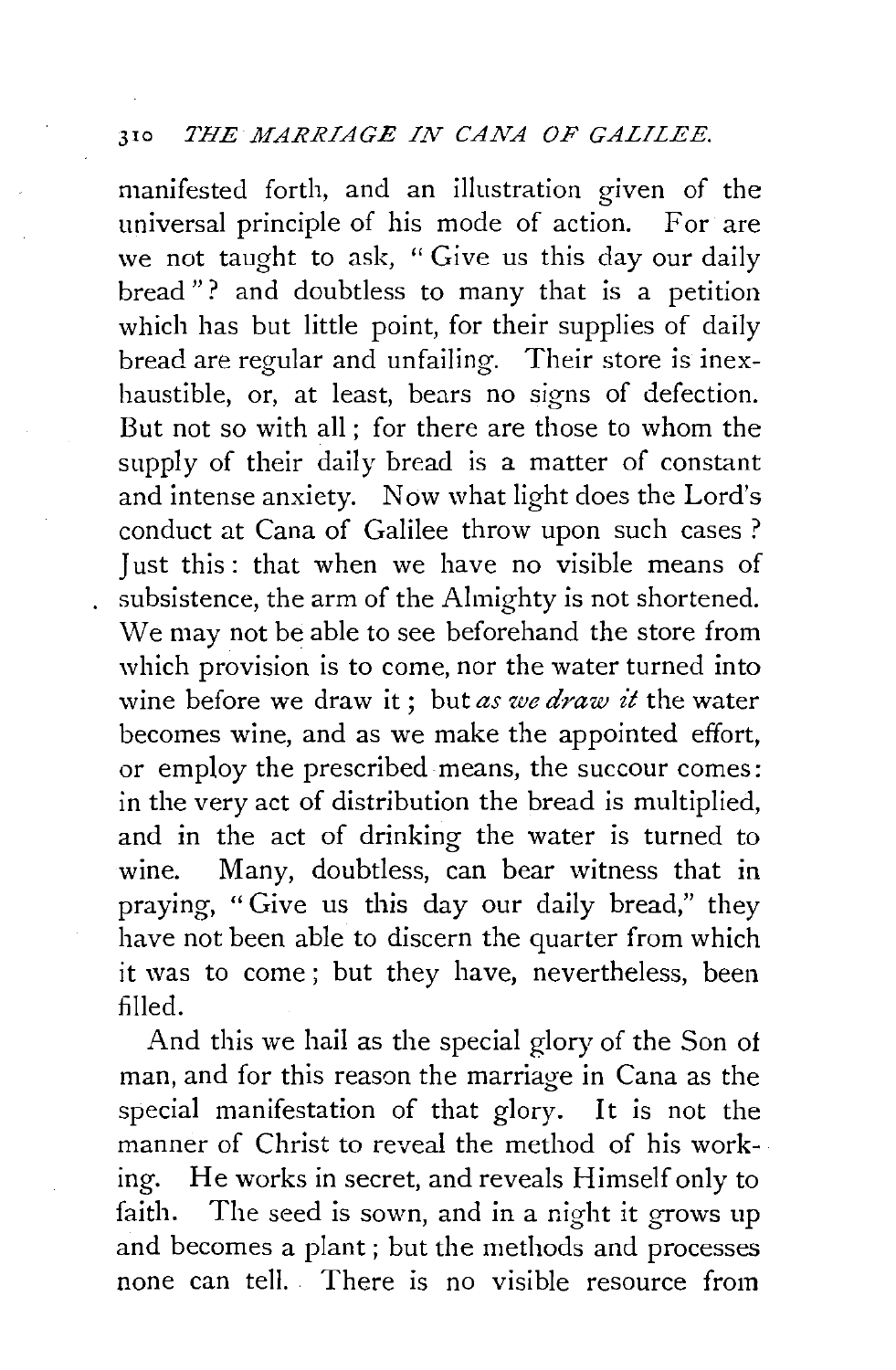## <sup>310</sup>*THE MARRIAGE IN CANA OF GALILEE.*

manifested forth, and an illustration given of the universal principle of his mode of action. For are we not taught to ask, "Give us this day our daily bread"? and doubtless to many that is a petition which has but little point, for their supplies of daily bread are regular and unfailing. Their store is inexhaustible, or, at least, bears no signs of defection. But not so with all; for there are those to whom the supply of their daily bread is a matter of constant and intense anxiety. Now what light does the Lord's conduct at Cana of Galilee throw upon such cases ? Just this: that when we have no visible means of subsistence, the arm of the Almighty is not shortened. We may not be able to see beforehand the store from which provision is to come, nor the water turned into wine before we draw it ; but *as we draw it* the water becomes wine, and as we make the appointed effort, or employ the prescribed means, the succour comes: in the very act of distribution the bread is multiplied, and in the act of drinking the water is turned to wine. Many, doubtless, can bear witness that in praying, "Give us this day our daily bread," they have not been able to discern the quarter from which it was to come; but they have, nevertheless, been filled.

And this we hail as the special glory of the Son of man, and for this reason the marriage in Cana as the special manifestation of that glory. It is not the manner of Christ to reveal the method of his working. He works in secret, and reveals Himself only to faith. The seed is sown, and in a night it grows up and becomes a plant ; but the methods and processes none can tell. There is no visible resource from